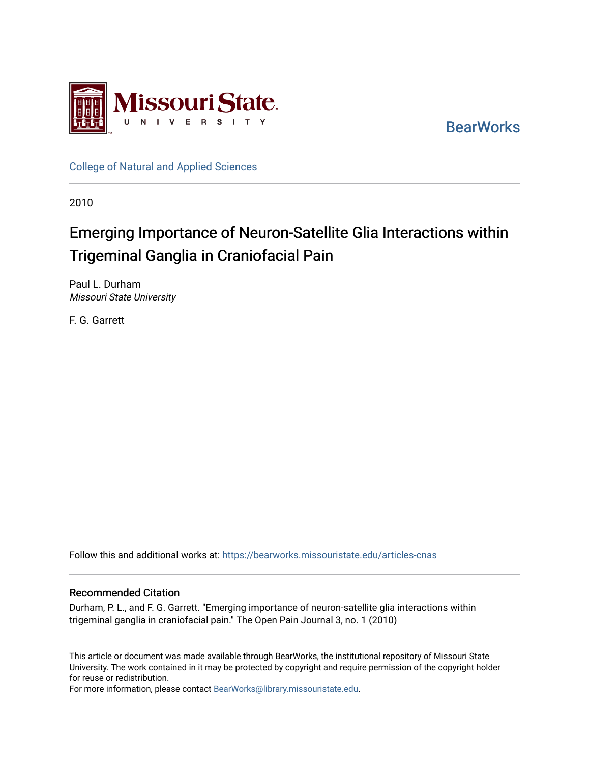

**BearWorks** 

[College of Natural and Applied Sciences](https://bearworks.missouristate.edu/articles-cnas)

2010

# Emerging Importance of Neuron-Satellite Glia Interactions within Trigeminal Ganglia in Craniofacial Pain

Paul L. Durham Missouri State University

F. G. Garrett

Follow this and additional works at: [https://bearworks.missouristate.edu/articles-cnas](https://bearworks.missouristate.edu/articles-cnas?utm_source=bearworks.missouristate.edu%2Farticles-cnas%2F944&utm_medium=PDF&utm_campaign=PDFCoverPages) 

### Recommended Citation

Durham, P. L., and F. G. Garrett. "Emerging importance of neuron-satellite glia interactions within trigeminal ganglia in craniofacial pain." The Open Pain Journal 3, no. 1 (2010)

This article or document was made available through BearWorks, the institutional repository of Missouri State University. The work contained in it may be protected by copyright and require permission of the copyright holder for reuse or redistribution.

For more information, please contact [BearWorks@library.missouristate.edu.](mailto:BearWorks@library.missouristate.edu)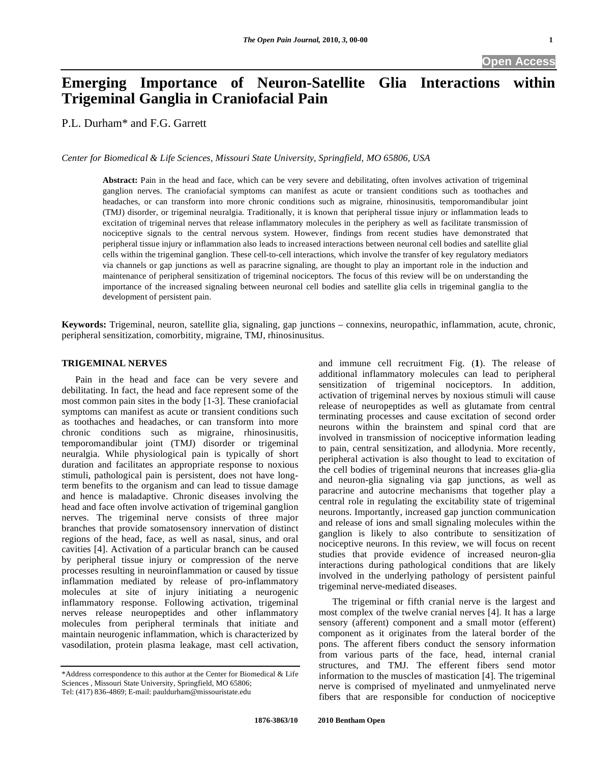## **Emerging Importance of Neuron-Satellite Glia Interactions within Trigeminal Ganglia in Craniofacial Pain**

P.L. Durham\* and F.G. Garrett

*Center for Biomedical & Life Sciences, Missouri State University, Springfield, MO 65806, USA* 

**Abstract:** Pain in the head and face, which can be very severe and debilitating, often involves activation of trigeminal ganglion nerves. The craniofacial symptoms can manifest as acute or transient conditions such as toothaches and headaches, or can transform into more chronic conditions such as migraine, rhinosinusitis, temporomandibular joint (TMJ) disorder, or trigeminal neuralgia. Traditionally, it is known that peripheral tissue injury or inflammation leads to excitation of trigeminal nerves that release inflammatory molecules in the periphery as well as facilitate transmission of nociceptive signals to the central nervous system. However, findings from recent studies have demonstrated that peripheral tissue injury or inflammation also leads to increased interactions between neuronal cell bodies and satellite glial cells within the trigeminal ganglion. These cell-to-cell interactions, which involve the transfer of key regulatory mediators via channels or gap junctions as well as paracrine signaling, are thought to play an important role in the induction and maintenance of peripheral sensitization of trigeminal nociceptors. The focus of this review will be on understanding the importance of the increased signaling between neuronal cell bodies and satellite glia cells in trigeminal ganglia to the development of persistent pain.

**Keywords:** Trigeminal, neuron, satellite glia, signaling, gap junctions – connexins, neuropathic, inflammation, acute, chronic, peripheral sensitization, comorbitity, migraine, TMJ, rhinosinusitus.

#### **TRIGEMINAL NERVES**

 Pain in the head and face can be very severe and debilitating. In fact, the head and face represent some of the most common pain sites in the body [1-3]. These craniofacial symptoms can manifest as acute or transient conditions such as toothaches and headaches, or can transform into more chronic conditions such as migraine, rhinosinusitis, temporomandibular joint (TMJ) disorder or trigeminal neuralgia. While physiological pain is typically of short duration and facilitates an appropriate response to noxious stimuli, pathological pain is persistent, does not have longterm benefits to the organism and can lead to tissue damage and hence is maladaptive. Chronic diseases involving the head and face often involve activation of trigeminal ganglion nerves. The trigeminal nerve consists of three major branches that provide somatosensory innervation of distinct regions of the head, face, as well as nasal, sinus, and oral cavities [4]. Activation of a particular branch can be caused by peripheral tissue injury or compression of the nerve processes resulting in neuroinflammation or caused by tissue inflammation mediated by release of pro-inflammatory molecules at site of injury initiating a neurogenic inflammatory response. Following activation, trigeminal nerves release neuropeptides and other inflammatory molecules from peripheral terminals that initiate and maintain neurogenic inflammation, which is characterized by vasodilation, protein plasma leakage, mast cell activation,

and immune cell recruitment Fig. (**1**). The release of additional inflammatory molecules can lead to peripheral sensitization of trigeminal nociceptors. In addition, activation of trigeminal nerves by noxious stimuli will cause release of neuropeptides as well as glutamate from central terminating processes and cause excitation of second order neurons within the brainstem and spinal cord that are involved in transmission of nociceptive information leading to pain, central sensitization, and allodynia. More recently, peripheral activation is also thought to lead to excitation of the cell bodies of trigeminal neurons that increases glia-glia and neuron-glia signaling via gap junctions, as well as paracrine and autocrine mechanisms that together play a central role in regulating the excitability state of trigeminal neurons. Importantly, increased gap junction communication and release of ions and small signaling molecules within the ganglion is likely to also contribute to sensitization of nociceptive neurons. In this review, we will focus on recent studies that provide evidence of increased neuron-glia interactions during pathological conditions that are likely involved in the underlying pathology of persistent painful trigeminal nerve-mediated diseases.

 The trigeminal or fifth cranial nerve is the largest and most complex of the twelve cranial nerves [4]. It has a large sensory (afferent) component and a small motor (efferent) component as it originates from the lateral border of the pons. The afferent fibers conduct the sensory information from various parts of the face, head, internal cranial structures, and TMJ. The efferent fibers send motor information to the muscles of mastication [4]. The trigeminal nerve is comprised of myelinated and unmyelinated nerve fibers that are responsible for conduction of nociceptive

<sup>\*</sup>Address correspondence to this author at the Center for Biomedical & Life Sciences , Missouri State University, Springfield, MO 65806; Tel: (417) 836-4869; E-mail: pauldurham@missouristate.edu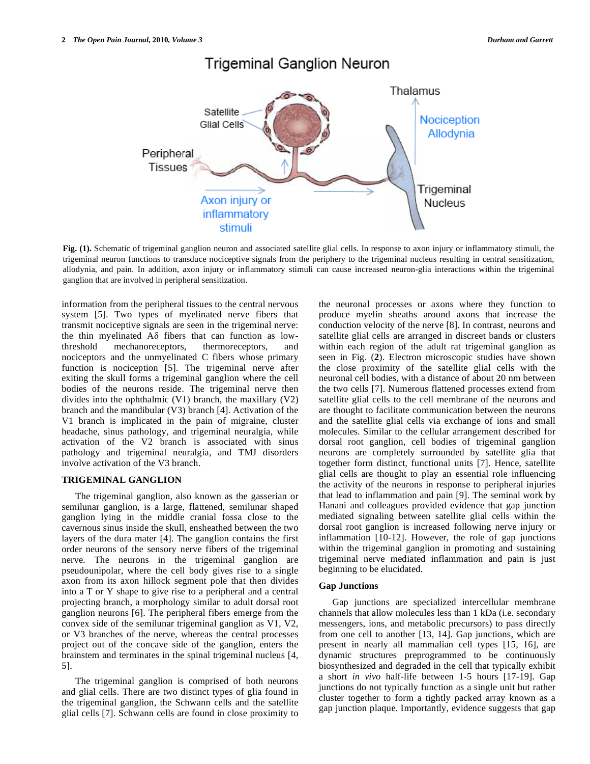

### **Trigeminal Ganglion Neuron**

**Fig. (1).** Schematic of trigeminal ganglion neuron and associated satellite glial cells. In response to axon injury or inflammatory stimuli, the trigeminal neuron functions to transduce nociceptive signals from the periphery to the trigeminal nucleus resulting in central sensitization, allodynia, and pain. In addition, axon injury or inflammatory stimuli can cause increased neuron-glia interactions within the trigeminal ganglion that are involved in peripheral sensitization.

information from the peripheral tissues to the central nervous system [5]. Two types of myelinated nerve fibers that transmit nociceptive signals are seen in the trigeminal nerve: the thin myelinated  $A\delta$  fibers that can function as lowthreshold mechanoreceptors, thermoreceptors, and nociceptors and the unmyelinated C fibers whose primary function is nociception [5]. The trigeminal nerve after exiting the skull forms a trigeminal ganglion where the cell bodies of the neurons reside. The trigeminal nerve then divides into the ophthalmic (V1) branch, the maxillary (V2) branch and the mandibular (V3) branch [4]. Activation of the V1 branch is implicated in the pain of migraine, cluster headache, sinus pathology, and trigeminal neuralgia, while activation of the V2 branch is associated with sinus pathology and trigeminal neuralgia, and TMJ disorders involve activation of the V3 branch.

#### **TRIGEMINAL GANGLION**

 The trigeminal ganglion, also known as the gasserian or semilunar ganglion, is a large, flattened, semilunar shaped ganglion lying in the middle cranial fossa close to the cavernous sinus inside the skull, ensheathed between the two layers of the dura mater [4]. The ganglion contains the first order neurons of the sensory nerve fibers of the trigeminal nerve. The neurons in the trigeminal ganglion are pseudounipolar, where the cell body gives rise to a single axon from its axon hillock segment pole that then divides into a T or Y shape to give rise to a peripheral and a central projecting branch, a morphology similar to adult dorsal root ganglion neurons [6]. The peripheral fibers emerge from the convex side of the semilunar trigeminal ganglion as V1, V2, or V3 branches of the nerve, whereas the central processes project out of the concave side of the ganglion, enters the brainstem and terminates in the spinal trigeminal nucleus [4, 5].

 The trigeminal ganglion is comprised of both neurons and glial cells. There are two distinct types of glia found in the trigeminal ganglion, the Schwann cells and the satellite glial cells [7]. Schwann cells are found in close proximity to the neuronal processes or axons where they function to produce myelin sheaths around axons that increase the conduction velocity of the nerve [8]. In contrast, neurons and satellite glial cells are arranged in discreet bands or clusters within each region of the adult rat trigeminal ganglion as seen in Fig. (**2**). Electron microscopic studies have shown the close proximity of the satellite glial cells with the neuronal cell bodies, with a distance of about 20 nm between the two cells [7]. Numerous flattened processes extend from satellite glial cells to the cell membrane of the neurons and are thought to facilitate communication between the neurons and the satellite glial cells via exchange of ions and small molecules. Similar to the cellular arrangement described for dorsal root ganglion, cell bodies of trigeminal ganglion neurons are completely surrounded by satellite glia that together form distinct, functional units [7]. Hence, satellite glial cells are thought to play an essential role influencing the activity of the neurons in response to peripheral injuries that lead to inflammation and pain [9]. The seminal work by Hanani and colleagues provided evidence that gap junction mediated signaling between satellite glial cells within the dorsal root ganglion is increased following nerve injury or inflammation [10-12]. However, the role of gap junctions within the trigeminal ganglion in promoting and sustaining trigeminal nerve mediated inflammation and pain is just beginning to be elucidated.

#### **Gap Junctions**

 Gap junctions are specialized intercellular membrane channels that allow molecules less than 1 kDa (i.e. secondary messengers, ions, and metabolic precursors) to pass directly from one cell to another [13, 14]. Gap junctions, which are present in nearly all mammalian cell types [15, 16], are dynamic structures preprogrammed to be continuously biosynthesized and degraded in the cell that typically exhibit a short *in vivo* half-life between 1-5 hours [17-19]. Gap junctions do not typically function as a single unit but rather cluster together to form a tightly packed array known as a gap junction plaque. Importantly, evidence suggests that gap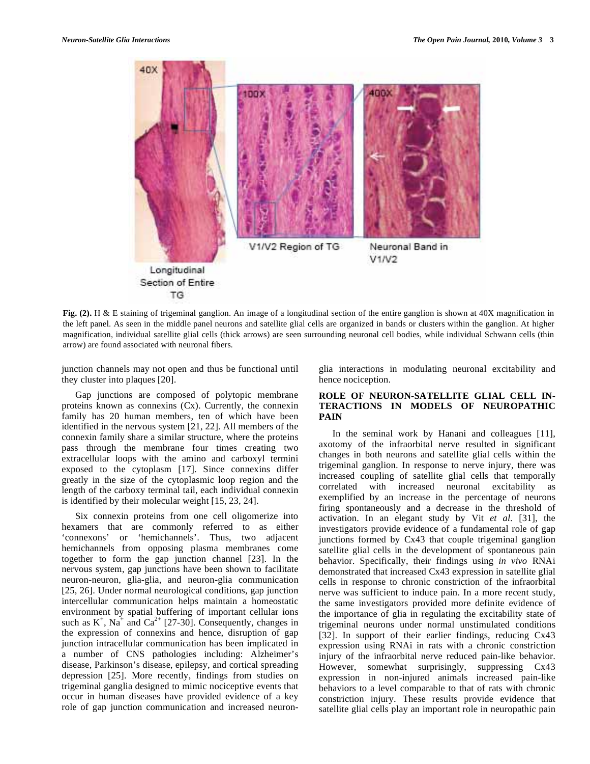

**Fig. (2).** H & E staining of trigeminal ganglion. An image of a longitudinal section of the entire ganglion is shown at 40X magnification in the left panel. As seen in the middle panel neurons and satellite glial cells are organized in bands or clusters within the ganglion. At higher magnification, individual satellite glial cells (thick arrows) are seen surrounding neuronal cell bodies, while individual Schwann cells (thin arrow) are found associated with neuronal fibers.

junction channels may not open and thus be functional until they cluster into plaques [20].

 Gap junctions are composed of polytopic membrane proteins known as connexins (Cx). Currently, the connexin family has 20 human members, ten of which have been identified in the nervous system [21, 22]. All members of the connexin family share a similar structure, where the proteins pass through the membrane four times creating two extracellular loops with the amino and carboxyl termini exposed to the cytoplasm [17]. Since connexins differ greatly in the size of the cytoplasmic loop region and the length of the carboxy terminal tail, each individual connexin is identified by their molecular weight [15, 23, 24].

 Six connexin proteins from one cell oligomerize into hexamers that are commonly referred to as either 'connexons' or 'hemichannels'. Thus, two adjacent hemichannels from opposing plasma membranes come together to form the gap junction channel [23]. In the nervous system, gap junctions have been shown to facilitate neuron-neuron, glia-glia, and neuron-glia communication [25, 26]. Under normal neurological conditions, gap junction intercellular communication helps maintain a homeostatic environment by spatial buffering of important cellular ions such as  $K^+$ ,  $Na^+$  and  $Ca^{2+}$  [27-30]. Consequently, changes in the expression of connexins and hence, disruption of gap junction intracellular communication has been implicated in a number of CNS pathologies including: Alzheimer's disease, Parkinson's disease, epilepsy, and cortical spreading depression [25]. More recently, findings from studies on trigeminal ganglia designed to mimic nociceptive events that occur in human diseases have provided evidence of a key role of gap junction communication and increased neuronglia interactions in modulating neuronal excitability and hence nociception.

#### **ROLE OF NEURON-SATELLITE GLIAL CELL IN-TERACTIONS IN MODELS OF NEUROPATHIC PAIN**

 In the seminal work by Hanani and colleagues [11], axotomy of the infraorbital nerve resulted in significant changes in both neurons and satellite glial cells within the trigeminal ganglion. In response to nerve injury, there was increased coupling of satellite glial cells that temporally correlated with increased neuronal excitability as exemplified by an increase in the percentage of neurons firing spontaneously and a decrease in the threshold of activation. In an elegant study by Vit *et al.* [31], the investigators provide evidence of a fundamental role of gap junctions formed by Cx43 that couple trigeminal ganglion satellite glial cells in the development of spontaneous pain behavior. Specifically, their findings using *in vivo* RNAi demonstrated that increased Cx43 expression in satellite glial cells in response to chronic constriction of the infraorbital nerve was sufficient to induce pain. In a more recent study, the same investigators provided more definite evidence of the importance of glia in regulating the excitability state of trigeminal neurons under normal unstimulated conditions [32]. In support of their earlier findings, reducing Cx43 expression using RNAi in rats with a chronic constriction injury of the infraorbital nerve reduced pain-like behavior. However, somewhat surprisingly, suppressing Cx43 expression in non-injured animals increased pain-like behaviors to a level comparable to that of rats with chronic constriction injury. These results provide evidence that satellite glial cells play an important role in neuropathic pain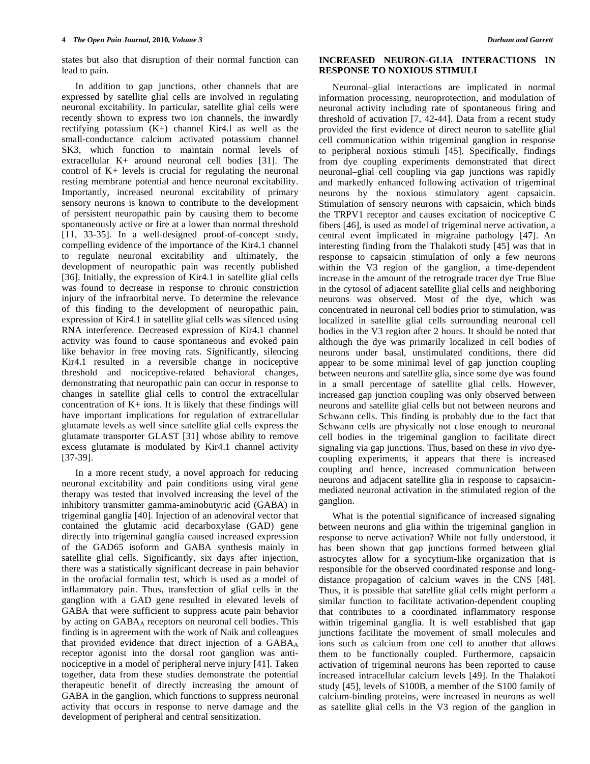states but also that disruption of their normal function can lead to pain.

 In addition to gap junctions, other channels that are expressed by satellite glial cells are involved in regulating neuronal excitability. In particular, satellite glial cells were recently shown to express two ion channels, the inwardly rectifying potassium  $(K+)$  channel Kir4.1 as well as the small-conductance calcium activated potassium channel SK3, which function to maintain normal levels of extracellular K+ around neuronal cell bodies [31]. The control of K+ levels is crucial for regulating the neuronal resting membrane potential and hence neuronal excitability. Importantly, increased neuronal excitability of primary sensory neurons is known to contribute to the development of persistent neuropathic pain by causing them to become spontaneously active or fire at a lower than normal threshold [11, 33-35]. In a well-designed proof-of-concept study, compelling evidence of the importance of the Kir4.1 channel to regulate neuronal excitability and ultimately, the development of neuropathic pain was recently published [36]. Initially, the expression of Kir4.1 in satellite glial cells was found to decrease in response to chronic constriction injury of the infraorbital nerve. To determine the relevance of this finding to the development of neuropathic pain, expression of Kir4.1 in satellite glial cells was silenced using RNA interference. Decreased expression of Kir4.1 channel activity was found to cause spontaneous and evoked pain like behavior in free moving rats. Significantly, silencing Kir4.1 resulted in a reversible change in nociceptive threshold and nociceptive-related behavioral changes, demonstrating that neuropathic pain can occur in response to changes in satellite glial cells to control the extracellular concentration of  $K<sub>+</sub>$  ions. It is likely that these findings will have important implications for regulation of extracellular glutamate levels as well since satellite glial cells express the glutamate transporter GLAST [31] whose ability to remove excess glutamate is modulated by Kir4.1 channel activity [37-39].

 In a more recent study, a novel approach for reducing neuronal excitability and pain conditions using viral gene therapy was tested that involved increasing the level of the inhibitory transmitter gamma-aminobutyric acid (GABA) in trigeminal ganglia [40]. Injection of an adenoviral vector that contained the glutamic acid decarboxylase (GAD) gene directly into trigeminal ganglia caused increased expression of the GAD65 isoform and GABA synthesis mainly in satellite glial cells. Significantly, six days after injection, there was a statistically significant decrease in pain behavior in the orofacial formalin test, which is used as a model of inflammatory pain. Thus, transfection of glial cells in the ganglion with a GAD gene resulted in elevated levels of GABA that were sufficient to suppress acute pain behavior by acting on GABA<sub>A</sub> receptors on neuronal cell bodies. This finding is in agreement with the work of Naik and colleagues that provided evidence that direct injection of a  $GABA_A$ receptor agonist into the dorsal root ganglion was antinociceptive in a model of peripheral nerve injury [41]. Taken together, data from these studies demonstrate the potential therapeutic benefit of directly increasing the amount of GABA in the ganglion, which functions to suppress neuronal activity that occurs in response to nerve damage and the development of peripheral and central sensitization.

#### **INCREASED NEURON-GLIA INTERACTIONS IN RESPONSE TO NOXIOUS STIMULI**

 Neuronal–glial interactions are implicated in normal information processing, neuroprotection, and modulation of neuronal activity including rate of spontaneous firing and threshold of activation [7, 42-44]. Data from a recent study provided the first evidence of direct neuron to satellite glial cell communication within trigeminal ganglion in response to peripheral noxious stimuli [45]. Specifically, findings from dye coupling experiments demonstrated that direct neuronal–glial cell coupling via gap junctions was rapidly and markedly enhanced following activation of trigeminal neurons by the noxious stimulatory agent capsaicin. Stimulation of sensory neurons with capsaicin, which binds the TRPV1 receptor and causes excitation of nociceptive C fibers [46], is used as model of trigeminal nerve activation, a central event implicated in migraine pathology [47]. An interesting finding from the Thalakoti study [45] was that in response to capsaicin stimulation of only a few neurons within the V3 region of the ganglion, a time-dependent increase in the amount of the retrograde tracer dye True Blue in the cytosol of adjacent satellite glial cells and neighboring neurons was observed. Most of the dye, which was concentrated in neuronal cell bodies prior to stimulation, was localized in satellite glial cells surrounding neuronal cell bodies in the V3 region after 2 hours. It should be noted that although the dye was primarily localized in cell bodies of neurons under basal, unstimulated conditions, there did appear to be some minimal level of gap junction coupling between neurons and satellite glia, since some dye was found in a small percentage of satellite glial cells. However, increased gap junction coupling was only observed between neurons and satellite glial cells but not between neurons and Schwann cells. This finding is probably due to the fact that Schwann cells are physically not close enough to neuronal cell bodies in the trigeminal ganglion to facilitate direct signaling via gap junctions. Thus, based on these *in vivo* dyecoupling experiments, it appears that there is increased coupling and hence, increased communication between neurons and adjacent satellite glia in response to capsaicinmediated neuronal activation in the stimulated region of the ganglion.

 What is the potential significance of increased signaling between neurons and glia within the trigeminal ganglion in response to nerve activation? While not fully understood, it has been shown that gap junctions formed between glial astrocytes allow for a syncytium-like organization that is responsible for the observed coordinated response and longdistance propagation of calcium waves in the CNS [48]. Thus, it is possible that satellite glial cells might perform a similar function to facilitate activation-dependent coupling that contributes to a coordinated inflammatory response within trigeminal ganglia. It is well established that gap junctions facilitate the movement of small molecules and ions such as calcium from one cell to another that allows them to be functionally coupled. Furthermore, capsaicin activation of trigeminal neurons has been reported to cause increased intracellular calcium levels [49]. In the Thalakoti study [45], levels of S100B, a member of the S100 family of calcium-binding proteins, were increased in neurons as well as satellite glial cells in the V3 region of the ganglion in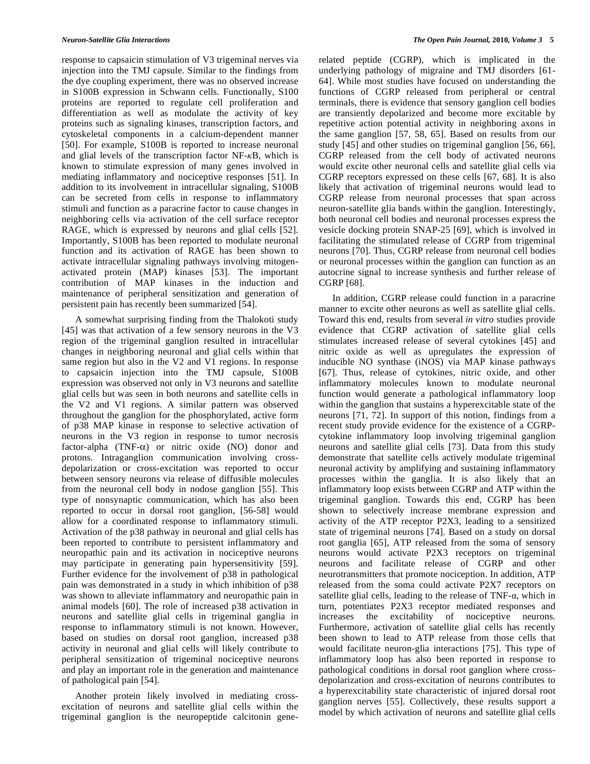response to capsaicin stimulation of V3 trigeminal nerves via injection into the TMJ capsule. Similar to the findings from the dye coupling experiment, there was no observed increase in S100B expression in Schwann cells. Functionally, S100 proteins are reported to regulate cell proliferation and differentiation as well as modulate the activity of key proteins such as signaling kinases, transcription factors, and cytoskeletal components in a calcium-dependent manner [50]. For example, S100B is reported to increase neuronal and glial levels of the transcription factor  $NF-\kappa B$ , which is known to stimulate expression of many genes involved in mediating inflammatory and nociceptive responses [51]. In addition to its involvement in intracellular signaling, S100B can be secreted from cells in response to inflammatory stimuli and function as a paracrine factor to cause changes in neighboring cells via activation of the cell surface receptor RAGE, which is expressed by neurons and glial cells [52]. Importantly, S100B has been reported to modulate neuronal function and its activation of RAGE has been shown to activate intracellular signaling pathways involving mitogenactivated protein (MAP) kinases [53]. The important contribution of MAP kinases in the induction and maintenance of peripheral sensitization and generation of persistent pain has recently been summarized [54].

 A somewhat surprising finding from the Thalokoti study [45] was that activation of a few sensory neurons in the V3 region of the trigeminal ganglion resulted in intracellular changes in neighboring neuronal and glial cells within that same region but also in the V2 and V1 regions. In response to capsaicin injection into the TMJ capsule, S100B expression was observed not only in V3 neurons and satellite glial cells but was seen in both neurons and satellite cells in the V2 and V1 regions. A similar pattern was observed throughout the ganglion for the phosphorylated, active form of p38 MAP kinase in response to selective activation of neurons in the V3 region in response to tumor necrosis factor-alpha  $(TNF-\alpha)$  or nitric oxide (NO) donor and protons. Intraganglion communication involving crossdepolarization or cross-excitation was reported to occur between sensory neurons via release of diffusible molecules from the neuronal cell body in nodose ganglion [55]. This type of nonsynaptic communication, which has also been reported to occur in dorsal root ganglion, [56-58] would allow for a coordinated response to inflammatory stimuli. Activation of the p38 pathway in neuronal and glial cells has been reported to contribute to persistent inflammatory and neuropathic pain and its activation in nociceptive neurons may participate in generating pain hypersensitivity [59]. Further evidence for the involvement of p38 in pathological pain was demonstrated in a study in which inhibition of p38 was shown to alleviate inflammatory and neuropathic pain in animal models [60]. The role of increased p38 activation in neurons and satellite glial cells in trigeminal ganglia in response to inflammatory stimuli is not known. However, based on studies on dorsal root ganglion, increased p38 activity in neuronal and glial cells will likely contribute to peripheral sensitization of trigeminal nociceptive neurons and play an important role in the generation and maintenance of pathological pain [54].

 Another protein likely involved in mediating crossexcitation of neurons and satellite glial cells within the trigeminal ganglion is the neuropeptide calcitonin generelated peptide (CGRP), which is implicated in the underlying pathology of migraine and TMJ disorders [61- 64]. While most studies have focused on understanding the functions of CGRP released from peripheral or central terminals, there is evidence that sensory ganglion cell bodies are transiently depolarized and become more excitable by repetitive action potential activity in neighboring axons in the same ganglion [57, 58, 65]. Based on results from our study [45] and other studies on trigeminal ganglion [56, 66], CGRP released from the cell body of activated neurons would excite other neuronal cells and satellite glial cells via CGRP receptors expressed on these cells [67, 68]. It is also likely that activation of trigeminal neurons would lead to CGRP release from neuronal processes that span across neuron-satellite glia bands within the ganglion. Interestingly, both neuronal cell bodies and neuronal processes express the vesicle docking protein SNAP-25 [69], which is involved in facilitating the stimulated release of CGRP from trigeminal neurons [70]. Thus, CGRP release from neuronal cell bodies or neuronal processes within the ganglion can function as an autocrine signal to increase synthesis and further release of CGRP [68].

 In addition, CGRP release could function in a paracrine manner to excite other neurons as well as satellite glial cells. Toward this end, results from several *in vitro* studies provide evidence that CGRP activation of satellite glial cells stimulates increased release of several cytokines [45] and nitric oxide as well as upregulates the expression of inducible NO synthase (iNOS) via MAP kinase pathways [67]. Thus, release of cytokines, nitric oxide, and other inflammatory molecules known to modulate neuronal function would generate a pathological inflammatory loop within the ganglion that sustains a hyperexcitable state of the neurons [71, 72]. In support of this notion, findings from a recent study provide evidence for the existence of a CGRPcytokine inflammatory loop involving trigeminal ganglion neurons and satellite glial cells [73]. Data from this study demonstrate that satellite cells actively modulate trigeminal neuronal activity by amplifying and sustaining inflammatory processes within the ganglia. It is also likely that an inflammatory loop exists between CGRP and ATP within the trigeminal ganglion. Towards this end, CGRP has been shown to selectively increase membrane expression and activity of the ATP receptor P2X3, leading to a sensitized state of trigeminal neurons [74]. Based on a study on dorsal root ganglia [65], ATP released from the soma of sensory neurons would activate P2X3 receptors on trigeminal neurons and facilitate release of CGRP and other neurotransmitters that promote nociception. In addition, ATP released from the soma could activate P2X7 receptors on satellite glial cells, leading to the release of  $TNF-\alpha$ , which in turn, potentiates P2X3 receptor mediated responses and increases the excitability of nociceptive neurons. Furthermore, activation of satellite glial cells has recently been shown to lead to ATP release from those cells that would facilitate neuron-glia interactions [75]. This type of inflammatory loop has also been reported in response to pathological conditions in dorsal root ganglion where crossdepolarization and cross-excitation of neurons contributes to a hyperexcitability state characteristic of injured dorsal root ganglion nerves [55]. Collectively, these results support a model by which activation of neurons and satellite glial cells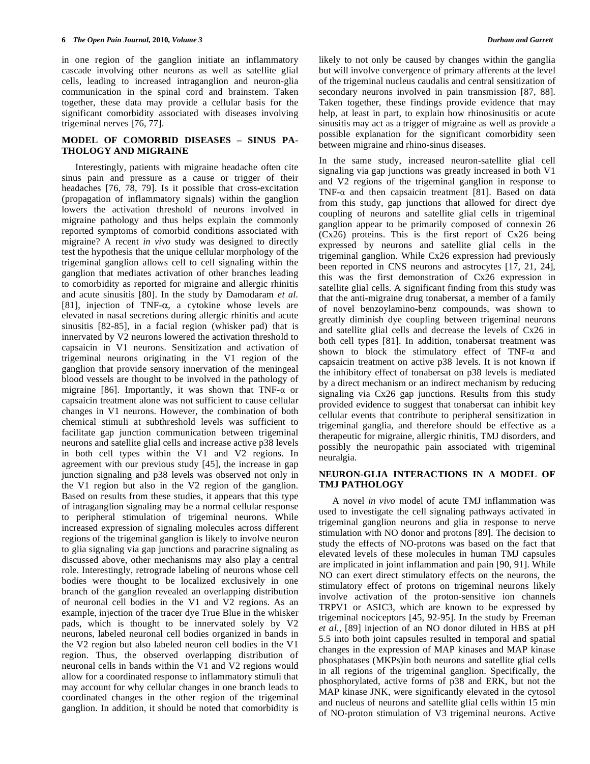in one region of the ganglion initiate an inflammatory cascade involving other neurons as well as satellite glial cells, leading to increased intraganglion and neuron-glia communication in the spinal cord and brainstem. Taken together, these data may provide a cellular basis for the significant comorbidity associated with diseases involving trigeminal nerves [76, 77].

#### **MODEL OF COMORBID DISEASES – SINUS PA-THOLOGY AND MIGRAINE**

 Interestingly, patients with migraine headache often cite sinus pain and pressure as a cause or trigger of their headaches [76, 78, 79]. Is it possible that cross-excitation (propagation of inflammatory signals) within the ganglion lowers the activation threshold of neurons involved in migraine pathology and thus helps explain the commonly reported symptoms of comorbid conditions associated with migraine? A recent *in vivo* study was designed to directly test the hypothesis that the unique cellular morphology of the trigeminal ganglion allows cell to cell signaling within the ganglion that mediates activation of other branches leading to comorbidity as reported for migraine and allergic rhinitis and acute sinusitis [80]. In the study by Damodaram *et al.* [81], injection of TNF- $\alpha$ , a cytokine whose levels are elevated in nasal secretions during allergic rhinitis and acute sinusitis [82-85], in a facial region (whisker pad) that is innervated by V2 neurons lowered the activation threshold to capsaicin in V1 neurons. Sensitization and activation of trigeminal neurons originating in the V1 region of the ganglion that provide sensory innervation of the meningeal blood vessels are thought to be involved in the pathology of migraine [86]. Importantly, it was shown that TNF- $\alpha$  or capsaicin treatment alone was not sufficient to cause cellular changes in V1 neurons. However, the combination of both chemical stimuli at subthreshold levels was sufficient to facilitate gap junction communication between trigeminal neurons and satellite glial cells and increase active p38 levels in both cell types within the V1 and V2 regions. In agreement with our previous study [45], the increase in gap junction signaling and p38 levels was observed not only in the V1 region but also in the V2 region of the ganglion. Based on results from these studies, it appears that this type of intraganglion signaling may be a normal cellular response to peripheral stimulation of trigeminal neurons. While increased expression of signaling molecules across different regions of the trigeminal ganglion is likely to involve neuron to glia signaling via gap junctions and paracrine signaling as discussed above, other mechanisms may also play a central role. Interestingly, retrograde labeling of neurons whose cell bodies were thought to be localized exclusively in one branch of the ganglion revealed an overlapping distribution of neuronal cell bodies in the V1 and V2 regions. As an example, injection of the tracer dye True Blue in the whisker pads, which is thought to be innervated solely by V2 neurons, labeled neuronal cell bodies organized in bands in the V2 region but also labeled neuron cell bodies in the V1 region. Thus, the observed overlapping distribution of neuronal cells in bands within the V1 and V2 regions would allow for a coordinated response to inflammatory stimuli that may account for why cellular changes in one branch leads to coordinated changes in the other region of the trigeminal ganglion. In addition, it should be noted that comorbidity is

likely to not only be caused by changes within the ganglia but will involve convergence of primary afferents at the level of the trigeminal nucleus caudalis and central sensitization of secondary neurons involved in pain transmission [87, 88]. Taken together, these findings provide evidence that may help, at least in part, to explain how rhinosinusitis or acute sinusitis may act as a trigger of migraine as well as provide a possible explanation for the significant comorbidity seen between migraine and rhino-sinus diseases.

In the same study, increased neuron-satellite glial cell signaling via gap junctions was greatly increased in both V1 and V2 regions of the trigeminal ganglion in response to TNF- $\alpha$  and then capsaicin treatment [81]. Based on data from this study, gap junctions that allowed for direct dye coupling of neurons and satellite glial cells in trigeminal ganglion appear to be primarily composed of connexin 26 (Cx26) proteins. This is the first report of Cx26 being expressed by neurons and satellite glial cells in the trigeminal ganglion. While Cx26 expression had previously been reported in CNS neurons and astrocytes [17, 21, 24], this was the first demonstration of Cx26 expression in satellite glial cells. A significant finding from this study was that the anti-migraine drug tonabersat, a member of a family of novel benzoylamino-benz compounds, was shown to greatly diminish dye coupling between trigeminal neurons and satellite glial cells and decrease the levels of Cx26 in both cell types [81]. In addition, tonabersat treatment was shown to block the stimulatory effect of  $TNF-\alpha$  and capsaicin treatment on active p38 levels. It is not known if the inhibitory effect of tonabersat on p38 levels is mediated by a direct mechanism or an indirect mechanism by reducing signaling via Cx26 gap junctions. Results from this study provided evidence to suggest that tonabersat can inhibit key cellular events that contribute to peripheral sensitization in trigeminal ganglia, and therefore should be effective as a therapeutic for migraine, allergic rhinitis, TMJ disorders, and possibly the neuropathic pain associated with trigeminal neuralgia.

#### **NEURON-GLIA INTERACTIONS IN A MODEL OF TMJ PATHOLOGY**

 A novel *in vivo* model of acute TMJ inflammation was used to investigate the cell signaling pathways activated in trigeminal ganglion neurons and glia in response to nerve stimulation with NO donor and protons [89]. The decision to study the effects of NO-protons was based on the fact that elevated levels of these molecules in human TMJ capsules are implicated in joint inflammation and pain [90, 91]. While NO can exert direct stimulatory effects on the neurons, the stimulatory effect of protons on trigeminal neurons likely involve activation of the proton-sensitive ion channels TRPV1 or ASIC3, which are known to be expressed by trigeminal nociceptors [45, 92-95]. In the study by Freeman *et al.*, [89] injection of an NO donor diluted in HBS at pH 5.5 into both joint capsules resulted in temporal and spatial changes in the expression of MAP kinases and MAP kinase phosphatases (MKPs)in both neurons and satellite glial cells in all regions of the trigeminal ganglion. Specifically, the phosphorylated, active forms of p38 and ERK, but not the MAP kinase JNK, were significantly elevated in the cytosol and nucleus of neurons and satellite glial cells within 15 min of NO-proton stimulation of V3 trigeminal neurons. Active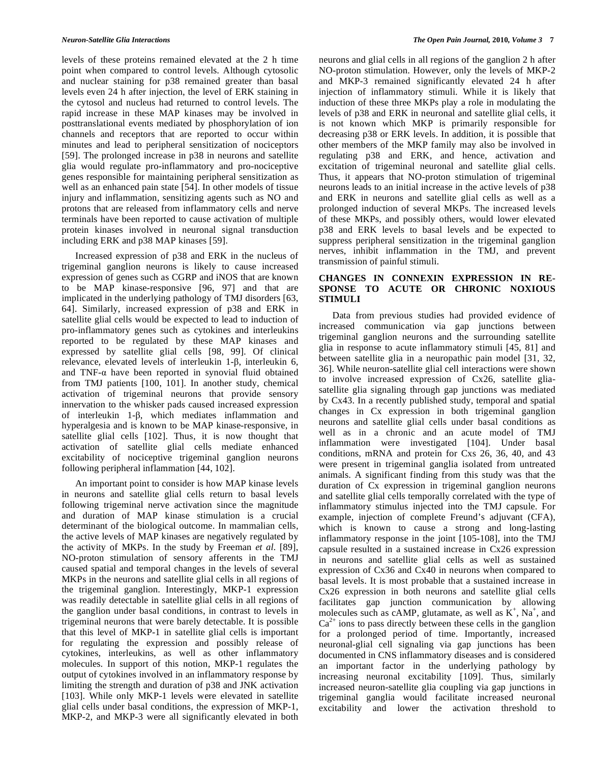levels of these proteins remained elevated at the 2 h time point when compared to control levels. Although cytosolic and nuclear staining for p38 remained greater than basal levels even 24 h after injection, the level of ERK staining in the cytosol and nucleus had returned to control levels. The rapid increase in these MAP kinases may be involved in posttranslational events mediated by phosphorylation of ion channels and receptors that are reported to occur within minutes and lead to peripheral sensitization of nociceptors [59]. The prolonged increase in p38 in neurons and satellite glia would regulate pro-inflammatory and pro-nociceptive genes responsible for maintaining peripheral sensitization as well as an enhanced pain state [54]. In other models of tissue injury and inflammation, sensitizing agents such as NO and protons that are released from inflammatory cells and nerve terminals have been reported to cause activation of multiple protein kinases involved in neuronal signal transduction including ERK and p38 MAP kinases [59].

 Increased expression of p38 and ERK in the nucleus of trigeminal ganglion neurons is likely to cause increased expression of genes such as CGRP and iNOS that are known to be MAP kinase-responsive [96, 97] and that are implicated in the underlying pathology of TMJ disorders [63, 64]. Similarly, increased expression of p38 and ERK in satellite glial cells would be expected to lead to induction of pro-inflammatory genes such as cytokines and interleukins reported to be regulated by these MAP kinases and expressed by satellite glial cells [98, 99]. Of clinical relevance, elevated levels of interleukin  $1-\beta$ , interleukin 6, and TNF- $\alpha$  have been reported in synovial fluid obtained from TMJ patients [100, 101]. In another study, chemical activation of trigeminal neurons that provide sensory innervation to the whisker pads caused increased expression of interleukin  $1-\beta$ , which mediates inflammation and hyperalgesia and is known to be MAP kinase-responsive, in satellite glial cells [102]. Thus, it is now thought that activation of satellite glial cells mediate enhanced excitability of nociceptive trigeminal ganglion neurons following peripheral inflammation [44, 102].

 An important point to consider is how MAP kinase levels in neurons and satellite glial cells return to basal levels following trigeminal nerve activation since the magnitude and duration of MAP kinase stimulation is a crucial determinant of the biological outcome. In mammalian cells, the active levels of MAP kinases are negatively regulated by the activity of MKPs. In the study by Freeman *et al.* [89], NO-proton stimulation of sensory afferents in the TMJ caused spatial and temporal changes in the levels of several MKPs in the neurons and satellite glial cells in all regions of the trigeminal ganglion. Interestingly, MKP-1 expression was readily detectable in satellite glial cells in all regions of the ganglion under basal conditions, in contrast to levels in trigeminal neurons that were barely detectable. It is possible that this level of MKP-1 in satellite glial cells is important for regulating the expression and possibly release of cytokines, interleukins, as well as other inflammatory molecules. In support of this notion, MKP-1 regulates the output of cytokines involved in an inflammatory response by limiting the strength and duration of p38 and JNK activation [103]. While only MKP-1 levels were elevated in satellite glial cells under basal conditions, the expression of MKP-1, MKP-2, and MKP-3 were all significantly elevated in both

neurons and glial cells in all regions of the ganglion 2 h after NO-proton stimulation. However, only the levels of MKP-2 and MKP-3 remained significantly elevated 24 h after injection of inflammatory stimuli. While it is likely that induction of these three MKPs play a role in modulating the levels of p38 and ERK in neuronal and satellite glial cells, it is not known which MKP is primarily responsible for decreasing p38 or ERK levels. In addition, it is possible that other members of the MKP family may also be involved in regulating p38 and ERK, and hence, activation and excitation of trigeminal neuronal and satellite glial cells. Thus, it appears that NO-proton stimulation of trigeminal neurons leads to an initial increase in the active levels of p38 and ERK in neurons and satellite glial cells as well as a prolonged induction of several MKPs. The increased levels of these MKPs, and possibly others, would lower elevated p38 and ERK levels to basal levels and be expected to suppress peripheral sensitization in the trigeminal ganglion nerves, inhibit inflammation in the TMJ, and prevent transmission of painful stimuli.

#### **CHANGES IN CONNEXIN EXPRESSION IN RE-SPONSE TO ACUTE OR CHRONIC NOXIOUS STIMULI**

 Data from previous studies had provided evidence of increased communication via gap junctions between trigeminal ganglion neurons and the surrounding satellite glia in response to acute inflammatory stimuli [45, 81] and between satellite glia in a neuropathic pain model [31, 32, 36]. While neuron-satellite glial cell interactions were shown to involve increased expression of Cx26, satellite gliasatellite glia signaling through gap junctions was mediated by Cx43. In a recently published study, temporal and spatial changes in Cx expression in both trigeminal ganglion neurons and satellite glial cells under basal conditions as well as in a chronic and an acute model of TMJ inflammation were investigated [104]. Under basal conditions, mRNA and protein for Cxs 26, 36, 40, and 43 were present in trigeminal ganglia isolated from untreated animals. A significant finding from this study was that the duration of Cx expression in trigeminal ganglion neurons and satellite glial cells temporally correlated with the type of inflammatory stimulus injected into the TMJ capsule. For example, injection of complete Freund's adjuvant (CFA), which is known to cause a strong and long-lasting inflammatory response in the joint [105-108], into the TMJ capsule resulted in a sustained increase in Cx26 expression in neurons and satellite glial cells as well as sustained expression of Cx36 and Cx40 in neurons when compared to basal levels. It is most probable that a sustained increase in Cx26 expression in both neurons and satellite glial cells facilitates gap junction communication by allowing molecules such as cAMP, glutamate, as well as  $K^+$ , Na<sup>+</sup>, and  $Ca^{2+}$  ions to pass directly between these cells in the ganglion for a prolonged period of time. Importantly, increased neuronal-glial cell signaling via gap junctions has been documented in CNS inflammatory diseases and is considered an important factor in the underlying pathology by increasing neuronal excitability [109]. Thus, similarly increased neuron-satellite glia coupling via gap junctions in trigeminal ganglia would facilitate increased neuronal excitability and lower the activation threshold to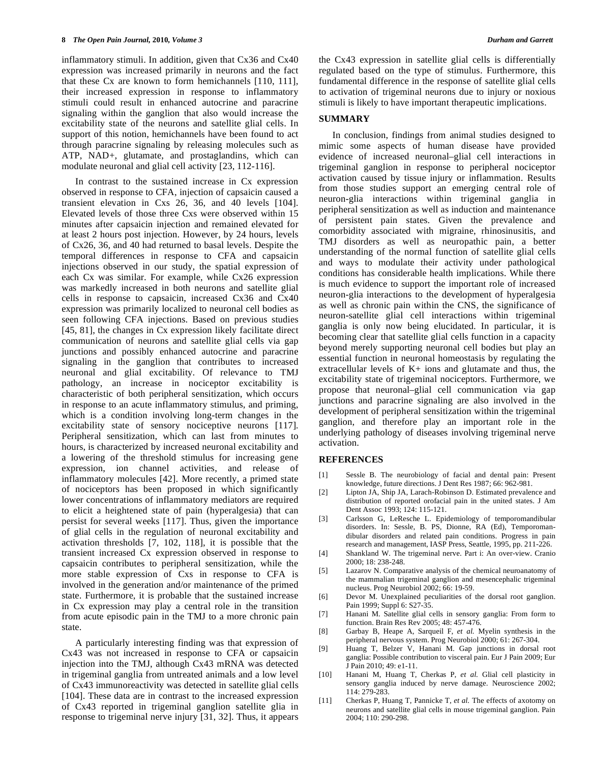inflammatory stimuli. In addition, given that Cx36 and Cx40 expression was increased primarily in neurons and the fact that these Cx are known to form hemichannels [110, 111], their increased expression in response to inflammatory stimuli could result in enhanced autocrine and paracrine signaling within the ganglion that also would increase the excitability state of the neurons and satellite glial cells. In support of this notion, hemichannels have been found to act through paracrine signaling by releasing molecules such as ATP, NAD+, glutamate, and prostaglandins, which can modulate neuronal and glial cell activity [23, 112-116].

 In contrast to the sustained increase in Cx expression observed in response to CFA, injection of capsaicin caused a transient elevation in Cxs 26, 36, and 40 levels [104]. Elevated levels of those three Cxs were observed within 15 minutes after capsaicin injection and remained elevated for at least 2 hours post injection. However, by 24 hours, levels of Cx26, 36, and 40 had returned to basal levels. Despite the temporal differences in response to CFA and capsaicin injections observed in our study, the spatial expression of each Cx was similar. For example, while Cx26 expression was markedly increased in both neurons and satellite glial cells in response to capsaicin, increased Cx36 and Cx40 expression was primarily localized to neuronal cell bodies as seen following CFA injections. Based on previous studies [45, 81], the changes in Cx expression likely facilitate direct communication of neurons and satellite glial cells via gap junctions and possibly enhanced autocrine and paracrine signaling in the ganglion that contributes to increased neuronal and glial excitability. Of relevance to TMJ pathology, an increase in nociceptor excitability is characteristic of both peripheral sensitization, which occurs in response to an acute inflammatory stimulus, and priming, which is a condition involving long-term changes in the excitability state of sensory nociceptive neurons [117]. Peripheral sensitization, which can last from minutes to hours, is characterized by increased neuronal excitability and a lowering of the threshold stimulus for increasing gene expression, ion channel activities, and release of inflammatory molecules [42]. More recently, a primed state of nociceptors has been proposed in which significantly lower concentrations of inflammatory mediators are required to elicit a heightened state of pain (hyperalgesia) that can persist for several weeks [117]. Thus, given the importance of glial cells in the regulation of neuronal excitability and activation thresholds [7, 102, 118], it is possible that the transient increased Cx expression observed in response to capsaicin contributes to peripheral sensitization, while the more stable expression of Cxs in response to CFA is involved in the generation and/or maintenance of the primed state. Furthermore, it is probable that the sustained increase in Cx expression may play a central role in the transition from acute episodic pain in the TMJ to a more chronic pain state.

 A particularly interesting finding was that expression of Cx43 was not increased in response to CFA or capsaicin injection into the TMJ, although Cx43 mRNA was detected in trigeminal ganglia from untreated animals and a low level of Cx43 immunoreactivity was detected in satellite glial cells [104]. These data are in contrast to the increased expression of Cx43 reported in trigeminal ganglion satellite glia in response to trigeminal nerve injury [31, 32]. Thus, it appears

the Cx43 expression in satellite glial cells is differentially regulated based on the type of stimulus. Furthermore, this fundamental difference in the response of satellite glial cells to activation of trigeminal neurons due to injury or noxious stimuli is likely to have important therapeutic implications.

#### **SUMMARY**

 In conclusion, findings from animal studies designed to mimic some aspects of human disease have provided evidence of increased neuronal–glial cell interactions in trigeminal ganglion in response to peripheral nociceptor activation caused by tissue injury or inflammation. Results from those studies support an emerging central role of neuron-glia interactions within trigeminal ganglia in peripheral sensitization as well as induction and maintenance of persistent pain states. Given the prevalence and comorbidity associated with migraine, rhinosinusitis, and TMJ disorders as well as neuropathic pain, a better understanding of the normal function of satellite glial cells and ways to modulate their activity under pathological conditions has considerable health implications. While there is much evidence to support the important role of increased neuron-glia interactions to the development of hyperalgesia as well as chronic pain within the CNS, the significance of neuron-satellite glial cell interactions within trigeminal ganglia is only now being elucidated. In particular, it is becoming clear that satellite glial cells function in a capacity beyond merely supporting neuronal cell bodies but play an essential function in neuronal homeostasis by regulating the extracellular levels of K+ ions and glutamate and thus, the excitability state of trigeminal nociceptors. Furthermore, we propose that neuronal–glial cell communication via gap junctions and paracrine signaling are also involved in the development of peripheral sensitization within the trigeminal ganglion, and therefore play an important role in the underlying pathology of diseases involving trigeminal nerve activation.

#### **REFERENCES**

- [1] Sessle B. The neurobiology of facial and dental pain: Present knowledge, future directions. J Dent Res 1987; 66: 962-981.
- [2] Lipton JA, Ship JA, Larach-Robinson D. Estimated prevalence and distribution of reported orofacial pain in the united states. J Am Dent Assoc 1993; 124: 115-121.
- [3] Carlsson G, LeResche L. Epidemiology of temporomandibular disorders. In: Sessle, B. PS, Dionne, RA (Ed), Temporomandibular disorders and related pain conditions. Progress in pain research and management, IASP Press, Seattle, 1995, pp. 211-226.
- [4] Shankland W. The trigeminal nerve. Part i: An over-view. Cranio 2000; 18: 238-248.
- [5] Lazarov N. Comparative analysis of the chemical neuroanatomy of the mammalian trigeminal ganglion and mesencephalic trigeminal nucleus. Prog Neurobiol 2002; 66: 19-59.
- [6] Devor M. Unexplained peculiarities of the dorsal root ganglion. Pain 1999; Suppl 6: S27-35.
- [7] Hanani M. Satellite glial cells in sensory ganglia: From form to function. Brain Res Rev 2005; 48: 457-476.
- [8] Garbay B, Heape A, Sarqueil F, *et al.* Myelin synthesis in the peripheral nervous system. Prog Neurobiol 2000; 61: 267-304.
- [9] Huang T, Belzer V, Hanani M. Gap junctions in dorsal root ganglia: Possible contribution to visceral pain. Eur J Pain 2009; Eur J Pain 2010; 49: e1-11.
- [10] Hanani M, Huang T, Cherkas P, *et al.* Glial cell plasticity in sensory ganglia induced by nerve damage. Neuroscience 2002; 114: 279-283.
- [11] Cherkas P, Huang T, Pannicke T, *et al.* The effects of axotomy on neurons and satellite glial cells in mouse trigeminal ganglion. Pain 2004; 110: 290-298.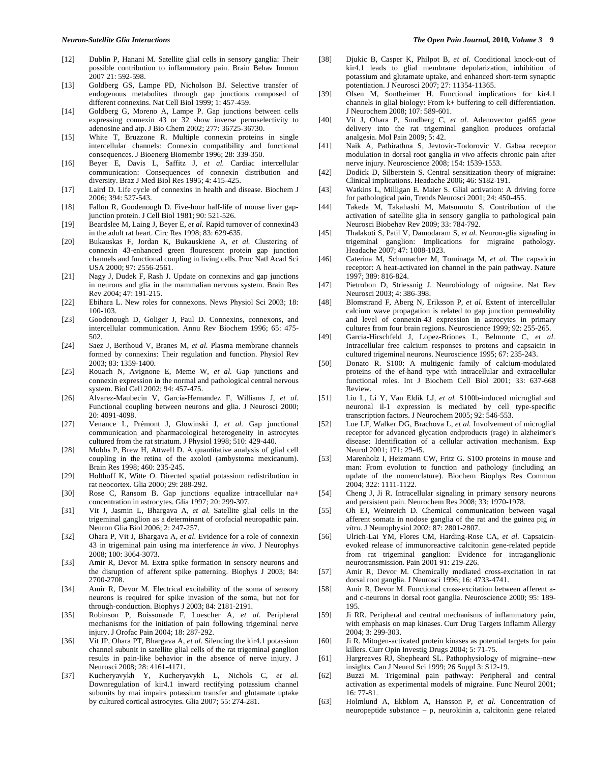- [12] Dublin P, Hanani M. Satellite glial cells in sensory ganglia: Their possible contribution to inflammatory pain. Brain Behav Immun 2007 21: 592-598.
- [13] Goldberg GS, Lampe PD, Nicholson BJ. Selective transfer of endogenous metabolites through gap junctions composed of different connexins. Nat Cell Biol 1999; 1: 457-459.
- [14] Goldberg G, Moreno A, Lampe P. Gap junctions between cells expressing connexin 43 or 32 show inverse permselectivity to adenosine and atp. J Bio Chem 2002; 277: 36725-36730.
- [15] White T, Bruzzone R. Multiple connexin proteins in single intercellular channels: Connexin compatibility and functional consequences. J Bioenerg Biomembr 1996; 28: 339-350.
- [16] Beyer E, Davis L, Saffitz J, *et al.* Cardiac intercellular communication: Consequences of connexin distribution and diversity. Braz J Med Biol Res 1995; 4: 415-425.
- [17] Laird D. Life cycle of connexins in health and disease. Biochem J 2006; 394: 527-543.
- [18] Fallon R, Goodenough D. Five-hour half-life of mouse liver gapjunction protein. J Cell Biol 1981; 90: 521-526.
- [19] Beardslee M, Laing J, Beyer E, *et al.* Rapid turnover of connexin43 in the adult rat heart. Circ Res 1998; 83: 629-635.
- [20] Bukauskas F, Jordan K, Bukauskiene A, *et al.* Clustering of connexin 43-enhanced green flourescent protein gap junction channels and functional coupling in living cells. Proc Natl Acad Sci USA 2000; 97: 2556-2561.
- [21] Nagy J, Dudek F, Rash J. Update on connexins and gap junctions in neurons and glia in the mammalian nervous system. Brain Res Rev 2004; 47: 191-215.
- [22] Ebihara L. New roles for connexons. News Physiol Sci 2003; 18: 100-103.
- [23] Goodenough D, Goliger J, Paul D. Connexins, connexons, and intercellular communication. Annu Rev Biochem 1996; 65: 475- 502.
- [24] Saez J, Berthoud V, Branes M, *et al.* Plasma membrane channels formed by connexins: Their regulation and function. Physiol Rev 2003; 83: 1359-1400.
- [25] Rouach N, Avignone E, Meme W, *et al.* Gap junctions and connexin expression in the normal and pathological central nervous system. Biol Cell 2002; 94: 457-475.
- [26] Alvarez-Maubecin V, Garcia-Hernandez F, Williams J, *et al.* Functional coupling between neurons and glia. J Neurosci 2000; 20: 4091-4098.
- [27] Venance L, Prémont J, Glowinski J, *et al.* Gap junctional communication and pharmacological heterogeneity in astrocytes cultured from the rat striatum. J Physiol 1998; 510: 429-440.
- [28] Mobbs P, Brew H, Attwell D. A quantitative analysis of glial cell coupling in the retina of the axolotl (ambystoma mexicanum). Brain Res 1998; 460: 235-245.
- [29] Holthoff K, Witte O. Directed spatial potassium redistribution in rat neocortex. Glia 2000; 29: 288-292.
- [30] Rose C, Ransom B. Gap junctions equalize intracellular na+ concentration in astrocytes. Glia 1997; 20: 299-307.
- [31] Vit J, Jasmin L, Bhargava A, *et al.* Satellite glial cells in the trigeminal ganglion as a determinant of orofacial neuropathic pain. Neuron Glia Biol 2006; 2: 247-257.
- [32] Ohara P, Vit J, Bhargava A, *et al.* Evidence for a role of connexin 43 in trigeminal pain using rna interference *in vivo*. J Neurophys 2008; 100: 3064-3073.
- [33] Amir R, Devor M. Extra spike formation in sensory neurons and the disruption of afferent spike patterning. Biophys J 2003; 84: 2700-2708.
- [34] Amir R, Devor M. Electrical excitability of the soma of sensory neurons is required for spike invasion of the soma, but not for through-conduction. Biophys J 2003; 84: 2181-2191.
- [35] Robinson P, Boissonade F, Loescher A, *et al.* Peripheral mechanisms for the initiation of pain following trigeminal nerve injury. J Orofac Pain 2004; 18: 287-292.
- [36] Vit JP, Ohara PT, Bhargava A, *et al.* Silencing the kir4.1 potassium channel subunit in satellite glial cells of the rat trigeminal ganglion results in pain-like behavior in the absence of nerve injury. J Neurosci 2008; 28: 4161-4171.
- [37] Kucheryavykh Y, Kucheryavykh L, Nichols C, *et al.* Downregulation of kir4.1 inward rectifying potassium channel subunits by rnai impairs potassium transfer and glutamate uptake by cultured cortical astrocytes. Glia 2007; 55: 274-281.
- [38] Djukic B, Casper K, Philpot B, *et al.* Conditional knock-out of kir4.1 leads to glial membrane depolarization, inhibition of potassium and glutamate uptake, and enhanced short-term synaptic potentiation. J Neurosci 2007; 27: 11354-11365.
- [39] Olsen M, Sontheimer H. Functional implications for kir4.1 channels in glial biology: From k+ buffering to cell differentiation. J Neurochem 2008; 107: 589-601.
- [40] Vit J, Ohara P, Sundberg C, *et al.* Adenovector gad65 gene delivery into the rat trigeminal ganglion produces orofacial analgesia. Mol Pain 2009; 5: 42.
- [41] Naik A, Pathirathna S, Jevtovic-Todorovic V. Gabaa receptor modulation in dorsal root ganglia *in vivo* affects chronic pain after nerve injury. Neuroscience 2008; 154: 1539-1553.
- [42] Dodick D, Silberstein S. Central sensitization theory of migraine: Clinical implications. Headache 2006; 46: S182-191.
- [43] Watkins L, Milligan E. Maier S. Glial activation: A driving force for pathological pain, Trends Neurosci 2001; 24: 450-455.
- [44] Takeda M, Takahashi M, Matsumoto S. Contribution of the activation of satellite glia in sensory ganglia to pathological pain Neurosci Biobehav Rev 2009; 33: 784-792.
- [45] Thalakoti S, Patil V, Damodaram S, *et al.* Neuron-glia signaling in trigeminal ganglion: Implications for migraine pathology. Headache 2007; 47: 1008-1023.
- [46] Caterina M, Schumacher M, Tominaga M, *et al.* The capsaicin receptor: A heat-activated ion channel in the pain pathway. Nature 1997; 389: 816-824.
- [47] Pietrobon D, Striessnig J. Neurobiology of migraine. Nat Rev Neurosci 2003; 4: 386-398.
- [48] Blomstrand F, Aberg N, Eriksson P, *et al.* Extent of intercellular calcium wave propagation is related to gap junction permeability and level of connexin-43 expression in astrocytes in primary cultures from four brain regions. Neuroscience 1999; 92: 255-265.
- [49] Garcia-Hirschfeld J, Lopez-Briones L, Belmonte C, *et al.* Intracellular free calcium responses to protons and capsaicin in cultured trigeminal neurons. Neuroscience 1995; 67: 235-243.
- [50] Donato R. S100: A multigenic family of calcium-modulated proteins of the ef-hand type with intracellular and extracellular functional roles. Int J Biochem Cell Biol 2001; 33: 637-668 Review.
- [51] Liu L, Li Y, Van Eldik LJ, *et al.* S100b-induced microglial and neuronal il-1 expression is mediated by cell type-specific transcription factors. J Neurochem 2005; 92: 546-553.
- [52] Lue LF, Walker DG, Brachova L, *et al.* Involvement of microglial receptor for advanced glycation endproducts (rage) in alzheimer's disease: Identification of a cellular activation mechanism. Exp Neurol 2001; 171: 29-45.
- [53] Marenholz I, Heizmann CW, Fritz G. S100 proteins in mouse and man: From evolution to function and pathology (including an update of the nomenclature). Biochem Biophys Res Commun 2004; 322: 1111-1122.
- [54] Cheng J, Ji R. Intracellular signaling in primary sensory neurons and persistent pain. Neurochem Res 2008; 33: 1970-1978.
- [55] Oh EJ, Weinreich D. Chemical communication between vagal afferent somata in nodose ganglia of the rat and the guinea pig *in vitro*. J Neurophysiol 2002; 87: 2801-2807.
- [56] Ulrich-Lai YM, Flores CM, Harding-Rose CA, *et al.* Capsaicinevoked release of immunoreactive calcitonin gene-related peptide from rat trigeminal ganglion: Evidence for intraganglionic neurotransmission. Pain 2001 91: 219-226.
- [57] Amir R, Devor M. Chemically mediated cross-excitation in rat dorsal root ganglia. J Neurosci 1996; 16: 4733-4741.
- [58] Amir R, Devor M. Functional cross-excitation between afferent aand c-neurons in dorsal root ganglia. Neuroscience 2000; 95: 189- 195.
- [59] Ji RR. Peripheral and central mechanisms of inflammatory pain, with emphasis on map kinases. Curr Drug Targets Inflamm Allergy 2004; 3: 299-303.
- [60] Ji R. Mitogen-activated protein kinases as potential targets for pain killers. Curr Opin Investig Drugs 2004; 5: 71-75.
- [61] Hargreaves RJ, Shepheard SL. Pathophysiology of migraine--new insights. Can J Neurol Sci 1999; 26 Suppl 3: S12-19.
- [62] Buzzi M. Trigeminal pain pathway: Peripheral and central activation as experimental models of migraine. Func Neurol 2001; 16: 77-81.
- [63] Holmlund A, Ekblom A, Hansson P, *et al.* Concentration of neuropeptide substance – p, neurokinin a, calcitonin gene related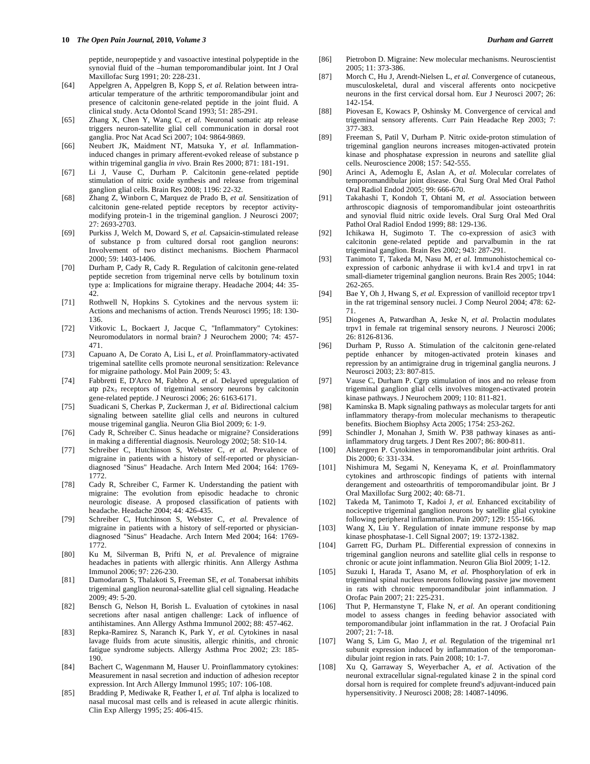peptide, neuropeptide y and vasoactive intestinal polypeptide in the synovial fluid of the –human temporomandibular joint. Int J Oral Maxillofac Surg 1991; 20: 228-231.

- [64] Appelgren A, Appelgren B, Kopp S, *et al.* Relation between intraarticular temperature of the arthritic temporomandibular joint and presence of calcitonin gene-related peptide in the joint fluid. A clinical study. Acta Odontol Scand 1993; 51: 285-291.
- [65] Zhang X, Chen Y, Wang C, *et al.* Neuronal somatic atp release triggers neuron-satellite glial cell communication in dorsal root ganglia. Proc Nat Acad Sci 2007; 104: 9864-9869.
- [66] Neubert JK, Maidment NT, Matsuka Y, *et al.* Inflammationinduced changes in primary afferent-evoked release of substance p within trigeminal ganglia *in vivo*. Brain Res 2000; 871: 181-191.
- [67] Li J, Vause C, Durham P. Calcitonin gene-related peptide stimulation of nitric oxide synthesis and release from trigeminal ganglion glial cells. Brain Res 2008; 1196: 22-32.
- [68] Zhang Z, Winborn C, Marquez de Prado B, *et al.* Sensitization of calcitonin gene-related peptide receptors by receptor activitymodifying protein-1 in the trigeminal ganglion. J Neurosci 2007; 27: 2693-2703.
- [69] Purkiss J, Welch M, Doward S, *et al.* Capsaicin-stimulated release of substance p from cultured dorsal root ganglion neurons: Involvement of two distinct mechanisms. Biochem Pharmacol 2000; 59: 1403-1406.
- [70] Durham P, Cady R, Cady R. Regulation of calcitonin gene-related peptide secretion from trigeminal nerve cells by botulinum toxin type a: Implications for migraine therapy. Headache 2004; 44: 35- 42.
- [71] Rothwell N, Hopkins S. Cytokines and the nervous system ii: Actions and mechanisms of action. Trends Neurosci 1995; 18: 130- 136.
- [72] Vitkovic L, Bockaert J, Jacque C, "Inflammatory" Cytokines: Neuromodulators in normal brain? J Neurochem 2000; 74: 457- 471.
- [73] Capuano A, De Corato A, Lisi L, *et al.* Proinflammatory-activated trigeminal satellite cells promote neuronal sensitization: Relevance for migraine pathology. Mol Pain 2009; 5: 43.
- [74] Fabbretti E, D'Arco M, Fabbro A, *et al.* Delayed upregulation of atp p2x3 receptors of trigeminal sensory neurons by calcitonin gene-related peptide. J Neurosci 2006; 26: 6163-6171.
- [75] Suadicani S, Cherkas P, Zuckerman J, *et al.* Bidirectional calcium signaling between satellite glial cells and neurons in cultured mouse trigeminal ganglia. Neuron Glia Biol 2009; 6: 1-9.
- [76] Cady R, Schreiber C. Sinus headache or migraine? Considerations in making a differential diagnosis. Neurology 2002; 58: S10-14.
- [77] Schreiber C, Hutchinson S, Webster C, *et al.* Prevalence of migraine in patients with a history of self-reported or physiciandiagnosed "Sinus" Headache. Arch Intern Med 2004; 164: 1769- 1772.
- [78] Cady R, Schreiber C, Farmer K. Understanding the patient with migraine: The evolution from episodic headache to chronic neurologic disease. A proposed classification of patients with headache. Headache 2004; 44: 426-435.
- [79] Schreiber C, Hutchinson S, Webster C, *et al.* Prevalence of migraine in patients with a history of self-reported or physiciandiagnosed "Sinus" Headache. Arch Intern Med 2004; 164: 1769- 1772.
- [80] Ku M, Silverman B, Prifti N, *et al.* Prevalence of migraine headaches in patients with allergic rhinitis. Ann Allergy Asthma Immunol 2006; 97: 226-230.
- [81] Damodaram S, Thalakoti S, Freeman SE, *et al.* Tonabersat inhibits trigeminal ganglion neuronal-satellite glial cell signaling. Headache 2009; 49: 5-20.
- [82] Bensch G, Nelson H, Borish L. Evaluation of cytokines in nasal secretions after nasal antigen challenge: Lack of influence of antihistamines. Ann Allergy Asthma Immunol 2002; 88: 457-462.
- [83] Repka-Ramirez S, Naranch K, Park Y, *et al.* Cytokines in nasal lavage fluids from acute sinusitis, allergic rhinitis, and chronic fatigue syndrome subjects. Allergy Asthma Proc 2002; 23: 185- 190.
- [84] Bachert C, Wagenmann M, Hauser U. Proinflammatory cytokines: Measurement in nasal secretion and induction of adhesion receptor expression. Int Arch Allergy Immunol 1995; 107: 106-108.
- [85] Bradding P, Mediwake R, Feather I, *et al.* Tnf alpha is localized to nasal mucosal mast cells and is released in acute allergic rhinitis. Clin Exp Allergy 1995; 25: 406-415.
- [86] Pietrobon D. Migraine: New molecular mechanisms. Neuroscientist 2005; 11: 373-386.
- [87] Morch C, Hu J, Arendt-Nielsen L, *et al.* Convergence of cutaneous, musculoskeletal, dural and visceral afferents onto nocicpetive neurons in the first cervical dorsal horn. Eur J Neurosci 2007; 26: 142-154.
- [88] Piovesan E, Kowacs P, Oshinsky M. Convergence of cervical and trigeminal sensory afferents. Curr Pain Headache Rep 2003; 7: 377-383.
- [89] Freeman S, Patil V, Durham P. Nitric oxide-proton stimulation of trigeminal ganglion neurons increases mitogen-activated protein kinase and phosphatase expression in neurons and satellite glial cells. Neuroscience 2008; 157: 542-555.
- [90] Arinci A, Ademoglu E, Aslan A, *et al.* Molecular correlates of temporomandibular joint disease. Oral Surg Oral Med Oral Pathol Oral Radiol Endod 2005; 99: 666-670.
- [91] Takahashi T, Kondoh T, Ohtani M, *et al.* Association between arthroscopic diagnosis of temporomandibular joint osteoarthritis and synovial fluid nitric oxide levels. Oral Surg Oral Med Oral Pathol Oral Radiol Endod 1999; 88: 129-136.
- [92] Ichikawa H, Sugimoto T. The co-expression of asic3 with calcitonin gene-related peptide and parvalbumin in the rat trigeminal ganglion. Brain Res 2002; 943: 287-291.
- [93] Tanimoto T, Takeda M, Nasu M, *et al.* Immunohistochemical coexpression of carbonic anhydrase ii with kv1.4 and trpv1 in rat small-diameter trigeminal ganglion neurons. Brain Res 2005; 1044: 262-265.
- [94] Bae Y, Oh J, Hwang S, *et al.* Expression of vanilloid receptor trpv1 in the rat trigeminal sensory nuclei. J Comp Neurol 2004; 478: 62- 71.
- [95] Diogenes A, Patwardhan A, Jeske N, *et al.* Prolactin modulates trpv1 in female rat trigeminal sensory neurons. J Neurosci 2006; 26: 8126-8136.
- [96] Durham P, Russo A. Stimulation of the calcitonin gene-related peptide enhancer by mitogen-activated protein kinases and repression by an antimigraine drug in trigeminal ganglia neurons. J Neurosci 2003; 23: 807-815.
- [97] Vause C, Durham P. Cgrp stimulation of inos and no release from trigeminal ganglion glial cells involves mitogen-activated protein kinase pathways. J Neurochem 2009; 110: 811-821.
- [98] Kaminska B. Mapk signaling pathways as molecular targets for anti inflammatory therapy-from molecular mechanisms to therapeutic benefits. Biochem Biophsy Acta 2005; 1754: 253-262.
- [99] Schindler J, Monahan J, Smith W. P38 pathway kinases as antiinflammatory drug targets. J Dent Res 2007; 86: 800-811.
- [100] Alstergren P. Cytokines in temporomandibular joint arthritis. Oral Dis 2000; 6: 331-334.
- [101] Nishimura M, Segami N, Keneyama K, *et al.* Proinflammatory cytokines and arthroscopic findings of patients with internal derangement and osteoarthritis of temporomandibular joint. Br J Oral Maxillofac Surg 2002; 40: 68-71.
- [102] Takeda M, Tanimoto T, Kadoi J, *et al.* Enhanced excitability of nociceptive trigeminal ganglion neurons by satellite glial cytokine following peripheral inflammation. Pain 2007; 129: 155-166.
- [103] Wang X, Liu Y. Regulation of innate immune response by map kinase phosphatase-1. Cell Signal 2007; 19: 1372-1382.
- [104] Garrett FG, Durham PL. Differential expression of connexins in trigeminal ganglion neurons and satellite glial cells in response to chronic or acute joint inflammation. Neuron Glia Biol 2009; 1-12.
- [105] Suzuki I, Harada T, Asano M, *et al.* Phosphorylation of erk in trigeminal spinal nucleus neurons following passive jaw movement in rats with chronic temporomandibular joint inflammation. J Orofac Pain 2007; 21: 225-231.
- [106] Thut P, Hermanstyne T, Flake N, *et al.* An operant conditioning model to assess changes in feeding behavior associated with temporomandibular joint inflammation in the rat. J Orofacial Pain 2007; 21: 7-18.
- [107] Wang S, Lim G, Mao J, *et al.* Regulation of the trigeminal nr1 subunit expression induced by inflammation of the temporomandibular joint region in rats. Pain 2008; 10: 1-7.
- [108] Xu Q, Garraway S, Weyerbacher A, *et al.* Activation of the neuronal extracellular signal-regulated kinase 2 in the spinal cord dorsal horn is required for complete freund's adjuvant-induced pain hypersensitivity. J Neurosci 2008; 28: 14087-14096.